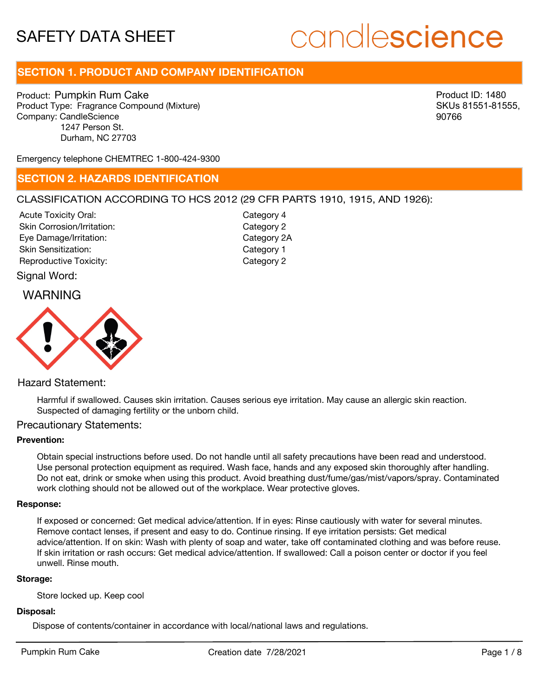# candlescience

# **SECTION 1. PRODUCT AND COMPANY IDENTIFICATION**

Product: Pumpkin Rum Cake Product Type: Fragrance Compound (Mixture) Company: CandleScience 1247 Person St. Durham, NC 27703

Product ID: 1480 SKUs 81551-81555, 90766

Emergency telephone CHEMTREC 1-800-424-9300

# **SECTION 2. HAZARDS IDENTIFICATION**

# CLASSIFICATION ACCORDING TO HCS 2012 (29 CFR PARTS 1910, 1915, AND 1926):

Acute Toxicity Oral: Skin Corrosion/Irritation: Eye Damage/Irritation: Skin Sensitization: Reproductive Toxicity: The Category 2

Category 4 Category 2 Category 2A Category 1

# WARNING Signal Word:



# Hazard Statement:

Harmful if swallowed. Causes skin irritation. Causes serious eye irritation. May cause an allergic skin reaction. Suspected of damaging fertility or the unborn child.

#### Precautionary Statements:

# **Prevention:**

Obtain special instructions before used. Do not handle until all safety precautions have been read and understood. Use personal protection equipment as required. Wash face, hands and any exposed skin thoroughly after handling. Do not eat, drink or smoke when using this product. Avoid breathing dust/fume/gas/mist/vapors/spray. Contaminated work clothing should not be allowed out of the workplace. Wear protective gloves.

#### **Response:**

If exposed or concerned: Get medical advice/attention. If in eyes: Rinse cautiously with water for several minutes. Remove contact lenses, if present and easy to do. Continue rinsing. If eye irritation persists: Get medical advice/attention. If on skin: Wash with plenty of soap and water, take off contaminated clothing and was before reuse. If skin irritation or rash occurs: Get medical advice/attention. If swallowed: Call a poison center or doctor if you feel unwell. Rinse mouth.

#### **Storage:**

Store locked up. Keep cool

#### **Disposal:**

Dispose of contents/container in accordance with local/national laws and regulations.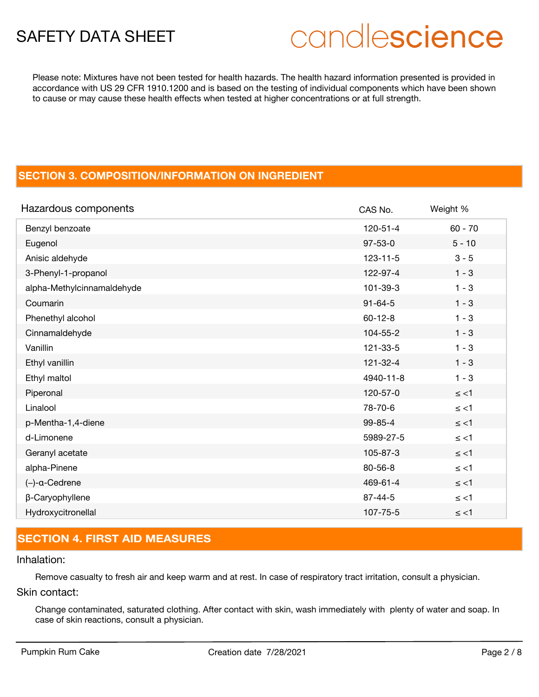# candlescience

Please note: Mixtures have not been tested for health hazards. The health hazard information presented is provided in accordance with US 29 CFR 1910.1200 and is based on the testing of individual components which have been shown to cause or may cause these health effects when tested at higher concentrations or at full strength.

# **SECTION 3. COMPOSITION/INFORMATION ON INGREDIENT**

| Hazardous components       | CAS No.        | Weight %  |
|----------------------------|----------------|-----------|
| Benzyl benzoate            | $120 - 51 - 4$ | $60 - 70$ |
| Eugenol                    | $97 - 53 - 0$  | $5 - 10$  |
| Anisic aldehyde            | $123 - 11 - 5$ | $3 - 5$   |
| 3-Phenyl-1-propanol        | 122-97-4       | $1 - 3$   |
| alpha-Methylcinnamaldehyde | 101-39-3       | $1 - 3$   |
| Coumarin                   | $91 - 64 - 5$  | $1 - 3$   |
| Phenethyl alcohol          | $60 - 12 - 8$  | $1 - 3$   |
| Cinnamaldehyde             | 104-55-2       | $1 - 3$   |
| Vanillin                   | 121-33-5       | $1 - 3$   |
| Ethyl vanillin             | $121 - 32 - 4$ | $1 - 3$   |
| Ethyl maltol               | 4940-11-8      | $1 - 3$   |
| Piperonal                  | 120-57-0       | $\le$ <1  |
| Linalool                   | 78-70-6        | $\le$ <1  |
| p-Mentha-1,4-diene         | $99 - 85 - 4$  | $\le$ <1  |
| d-Limonene                 | 5989-27-5      | $\le$ <1  |
| Geranyl acetate            | 105-87-3       | $\le$ <1  |
| alpha-Pinene               | $80 - 56 - 8$  | $\le$ <1  |
| $(-)$ -a-Cedrene           | 469-61-4       | $\le$ <1  |
| β-Caryophyllene            | $87 - 44 - 5$  | $\le$ <1  |
| Hydroxycitronellal         | 107-75-5       | $\le$ <1  |

# **SECTION 4. FIRST AID MEASURES**

# Inhalation:

Remove casualty to fresh air and keep warm and at rest. In case of respiratory tract irritation, consult a physician.

# Skin contact:

Change contaminated, saturated clothing. After contact with skin, wash immediately with plenty of water and soap. In case of skin reactions, consult a physician.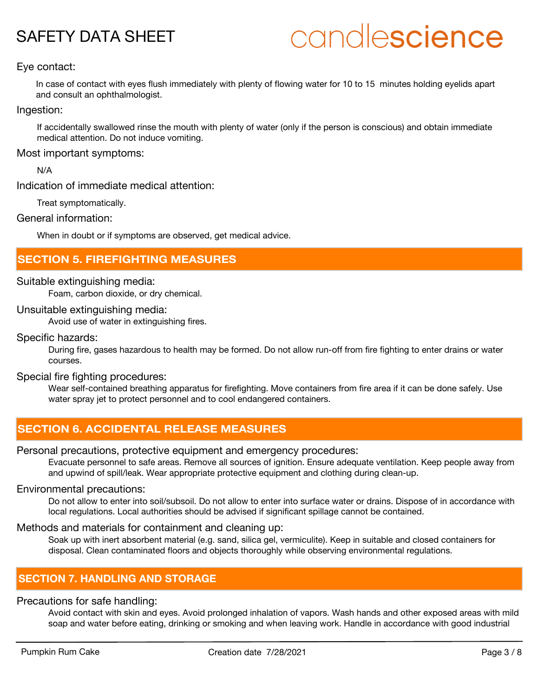# candlescience

# Eye contact:

In case of contact with eyes flush immediately with plenty of flowing water for 10 to 15 minutes holding eyelids apart and consult an ophthalmologist.

### Ingestion:

If accidentally swallowed rinse the mouth with plenty of water (only if the person is conscious) and obtain immediate medical attention. Do not induce vomiting.

Most important symptoms:

N/A

Indication of immediate medical attention:

Treat symptomatically.

General information:

When in doubt or if symptoms are observed, get medical advice.

# **SECTION 5. FIREFIGHTING MEASURES**

#### Suitable extinguishing media:

Foam, carbon dioxide, or dry chemical.

# Unsuitable extinguishing media:

Avoid use of water in extinguishing fires.

# Specific hazards:

During fire, gases hazardous to health may be formed. Do not allow run-off from fire fighting to enter drains or water courses.

# Special fire fighting procedures:

Wear self-contained breathing apparatus for firefighting. Move containers from fire area if it can be done safely. Use water spray jet to protect personnel and to cool endangered containers.

# **SECTION 6. ACCIDENTAL RELEASE MEASURES**

# Personal precautions, protective equipment and emergency procedures:

Evacuate personnel to safe areas. Remove all sources of ignition. Ensure adequate ventilation. Keep people away from and upwind of spill/leak. Wear appropriate protective equipment and clothing during clean-up.

# Environmental precautions:

Do not allow to enter into soil/subsoil. Do not allow to enter into surface water or drains. Dispose of in accordance with local regulations. Local authorities should be advised if significant spillage cannot be contained.

# Methods and materials for containment and cleaning up:

Soak up with inert absorbent material (e.g. sand, silica gel, vermiculite). Keep in suitable and closed containers for disposal. Clean contaminated floors and objects thoroughly while observing environmental regulations.

# **SECTION 7. HANDLING AND STORAGE**

# Precautions for safe handling:

Avoid contact with skin and eyes. Avoid prolonged inhalation of vapors. Wash hands and other exposed areas with mild soap and water before eating, drinking or smoking and when leaving work. Handle in accordance with good industrial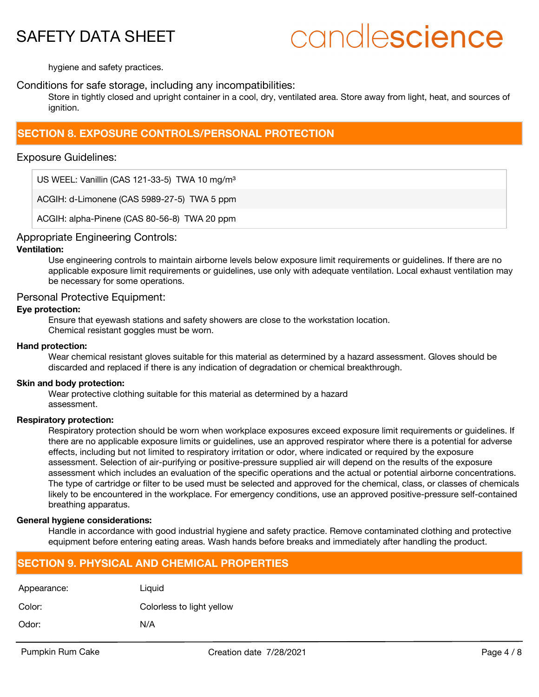# candlescience

hygiene and safety practices.

### Conditions for safe storage, including any incompatibilities:

Store in tightly closed and upright container in a cool, dry, ventilated area. Store away from light, heat, and sources of ianition.

# **SECTION 8. EXPOSURE CONTROLS/PERSONAL PROTECTION**

### Exposure Guidelines:

US WEEL: Vanillin (CAS 121-33-5) TWA 10 mg/m<sup>3</sup>

ACGIH: d-Limonene (CAS 5989-27-5) TWA 5 ppm

ACGIH: alpha-Pinene (CAS 80-56-8) TWA 20 ppm

#### Appropriate Engineering Controls:

#### **Ventilation:**

Use engineering controls to maintain airborne levels below exposure limit requirements or guidelines. If there are no applicable exposure limit requirements or guidelines, use only with adequate ventilation. Local exhaust ventilation may be necessary for some operations.

### Personal Protective Equipment:

#### **Eye protection:**

Ensure that eyewash stations and safety showers are close to the workstation location. Chemical resistant goggles must be worn.

#### **Hand protection:**

Wear chemical resistant gloves suitable for this material as determined by a hazard assessment. Gloves should be discarded and replaced if there is any indication of degradation or chemical breakthrough.

#### **Skin and body protection:**

Wear protective clothing suitable for this material as determined by a hazard assessment.

#### **Respiratory protection:**

Respiratory protection should be worn when workplace exposures exceed exposure limit requirements or guidelines. If there are no applicable exposure limits or guidelines, use an approved respirator where there is a potential for adverse effects, including but not limited to respiratory irritation or odor, where indicated or required by the exposure assessment. Selection of air-purifying or positive-pressure supplied air will depend on the results of the exposure assessment which includes an evaluation of the specific operations and the actual or potential airborne concentrations. The type of cartridge or filter to be used must be selected and approved for the chemical, class, or classes of chemicals likely to be encountered in the workplace. For emergency conditions, use an approved positive-pressure self-contained breathing apparatus.

#### **General hygiene considerations:**

Handle in accordance with good industrial hygiene and safety practice. Remove contaminated clothing and protective equipment before entering eating areas. Wash hands before breaks and immediately after handling the product.

# **SECTION 9. PHYSICAL AND CHEMICAL PROPERTIES**

| Appearance: | Liguid                    |
|-------------|---------------------------|
| Color:      | Colorless to light yellow |
| Odor:       | N/A                       |
|             |                           |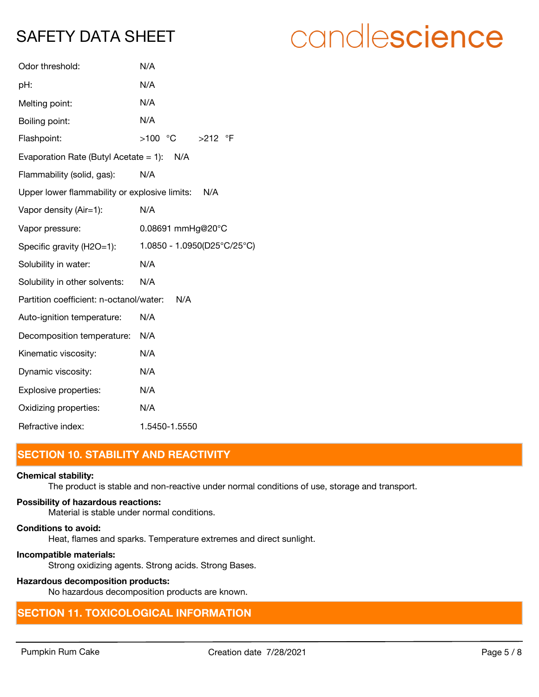| Odor threshold:                               | N/A                         |
|-----------------------------------------------|-----------------------------|
| pH:                                           | N/A                         |
| Melting point:                                | N/A                         |
| Boiling point:                                | N/A                         |
| Flashpoint:                                   | >100 °C >212 °F             |
| Evaporation Rate (Butyl Acetate = 1): $N/A$   |                             |
| Flammability (solid, gas):                    | N/A                         |
| Upper lower flammability or explosive limits: | N/A                         |
| Vapor density (Air=1):                        | N/A                         |
| Vapor pressure:                               | 0.08691 mmHg@20°C           |
| Specific gravity (H2O=1):                     | 1.0850 - 1.0950(D25°C/25°C) |
| Solubility in water:                          | N/A                         |
| Solubility in other solvents:                 | N/A                         |
| Partition coefficient: n-octanol/water:       | N/A                         |
| Auto-ignition temperature:                    | N/A                         |
| Decomposition temperature:                    | N/A                         |
| Kinematic viscosity:                          | N/A                         |
| Dynamic viscosity:                            | N/A                         |
| Explosive properties:                         | N/A                         |
| Oxidizing properties:                         | N/A                         |
| Refractive index:                             | 1.5450-1.5550               |

# **SECTION 10. STABILITY AND REACTIVITY**

#### **Chemical stability:**

The product is stable and non-reactive under normal conditions of use, storage and transport.

#### **Possibility of hazardous reactions:**

Material is stable under normal conditions.

# **Conditions to avoid:**

Heat, flames and sparks. Temperature extremes and direct sunlight.

#### **Incompatible materials:**

Strong oxidizing agents. Strong acids. Strong Bases.

# **Hazardous decomposition products:**

No hazardous decomposition products are known.

# **SECTION 11. TOXICOLOGICAL INFORMATION**

# candlescience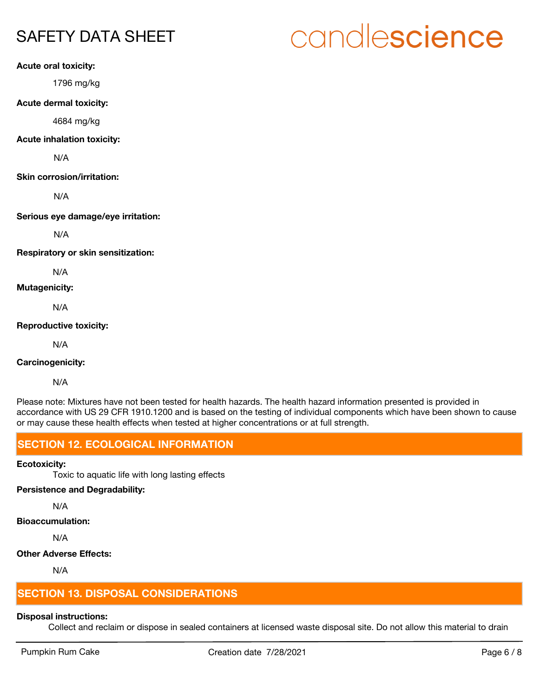# **Acute oral toxicity:**

1796 mg/kg

### **Acute dermal toxicity:**

4684 mg/kg

#### **Acute inhalation toxicity:**

N/A

### **Skin corrosion/irritation:**

N/A

#### **Serious eye damage/eye irritation:**

N/A

**Respiratory or skin sensitization:**

N/A

# **Mutagenicity:**

N/A

#### **Reproductive toxicity:**

N/A

# **Carcinogenicity:**

N/A

Please note: Mixtures have not been tested for health hazards. The health hazard information presented is provided in accordance with US 29 CFR 1910.1200 and is based on the testing of individual components which have been shown to cause or may cause these health effects when tested at higher concentrations or at full strength.

# **SECTION 12. ECOLOGICAL INFORMATION**

# **Ecotoxicity:**

Toxic to aquatic life with long lasting effects

# **Persistence and Degradability:**

N/A

# **Bioaccumulation:**

N/A

# **Other Adverse Effects:**

N/A

# **SECTION 13. DISPOSAL CONSIDERATIONS**

# **Disposal instructions:**

Collect and reclaim or dispose in sealed containers at licensed waste disposal site. Do not allow this material to drain

# candlescience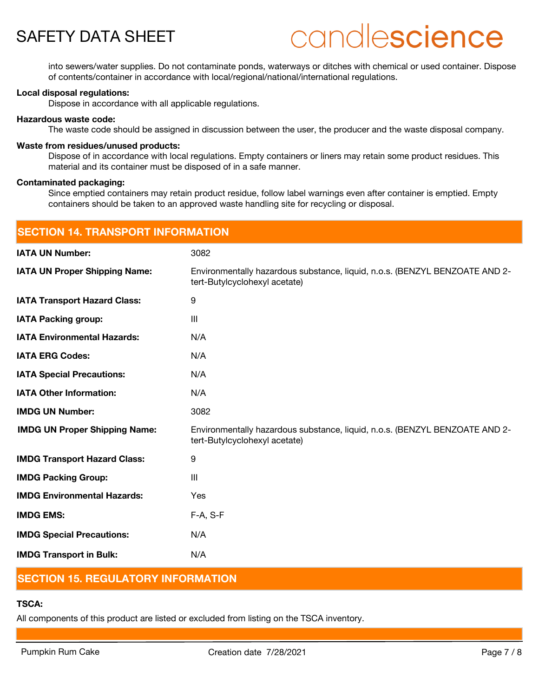# candlescience

into sewers/water supplies. Do not contaminate ponds, waterways or ditches with chemical or used container. Dispose of contents/container in accordance with local/regional/national/international regulations.

#### **Local disposal regulations:**

Dispose in accordance with all applicable regulations.

#### **Hazardous waste code:**

The waste code should be assigned in discussion between the user, the producer and the waste disposal company.

#### **Waste from residues/unused products:**

Dispose of in accordance with local regulations. Empty containers or liners may retain some product residues. This material and its container must be disposed of in a safe manner.

#### **Contaminated packaging:**

Since emptied containers may retain product residue, follow label warnings even after container is emptied. Empty containers should be taken to an approved waste handling site for recycling or disposal.

| <b>SECTION 14. TRANSPORT INFORMATION</b> |                                                                                                              |  |
|------------------------------------------|--------------------------------------------------------------------------------------------------------------|--|
| <b>IATA UN Number:</b>                   | 3082                                                                                                         |  |
| <b>IATA UN Proper Shipping Name:</b>     | Environmentally hazardous substance, liquid, n.o.s. (BENZYL BENZOATE AND 2-<br>tert-Butylcyclohexyl acetate) |  |
| <b>IATA Transport Hazard Class:</b>      | 9                                                                                                            |  |
| <b>IATA Packing group:</b>               | $\mathbf{III}$                                                                                               |  |
| <b>IATA Environmental Hazards:</b>       | N/A                                                                                                          |  |
| <b>IATA ERG Codes:</b>                   | N/A                                                                                                          |  |
| <b>IATA Special Precautions:</b>         | N/A                                                                                                          |  |
| <b>IATA Other Information:</b>           | N/A                                                                                                          |  |
| <b>IMDG UN Number:</b>                   | 3082                                                                                                         |  |
| <b>IMDG UN Proper Shipping Name:</b>     | Environmentally hazardous substance, liquid, n.o.s. (BENZYL BENZOATE AND 2-<br>tert-Butylcyclohexyl acetate) |  |
| <b>IMDG Transport Hazard Class:</b>      | 9                                                                                                            |  |
| <b>IMDG Packing Group:</b>               | III                                                                                                          |  |
| <b>IMDG Environmental Hazards:</b>       | <b>Yes</b>                                                                                                   |  |
| <b>IMDG EMS:</b>                         | F-A, S-F                                                                                                     |  |
| <b>IMDG Special Precautions:</b>         | N/A                                                                                                          |  |
| <b>IMDG Transport in Bulk:</b>           | N/A                                                                                                          |  |

# **SECTION 15. REGULATORY INFORMATION**

# **TSCA:**

All components of this product are listed or excluded from listing on the TSCA inventory.